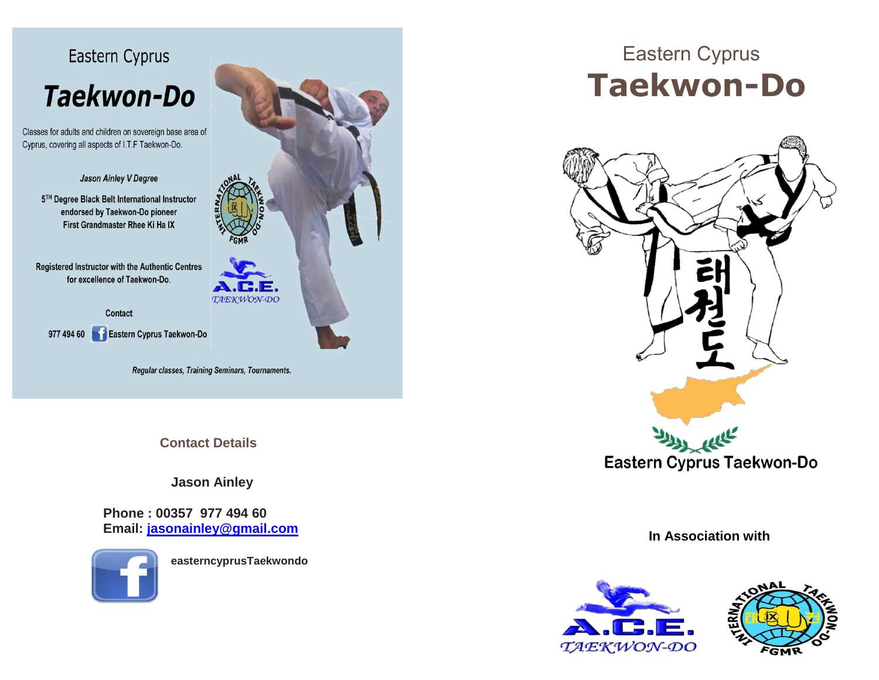

Classes for adults and children on sovereign base area of Cyprus, covering all aspects of I.T.F Taekwon-Do.

Jason Ainley V Degree

5TH Degree Black Belt International Instructor endorsed by Taekwon-Do pioneer First Grandmaster Rhee Ki Ha IX

**Registered Instructor with the Authentic Centres** for excellence of Taekwon-Do.

Contact

977 494 60 Eastern Cyprus Taekwon-Do

Regular classes, Training Seminars, Tournaments.

**Contact Details**

**Jason Ainley**

**Phone : 00357 977 494 60 Email: [jasonainley@gmail.com](mailto:jasonainley@gmail.com)**



 **easterncyprusTaekwondo**



## Eastern Cyprus **Taekwon-Do**



**In Association with**